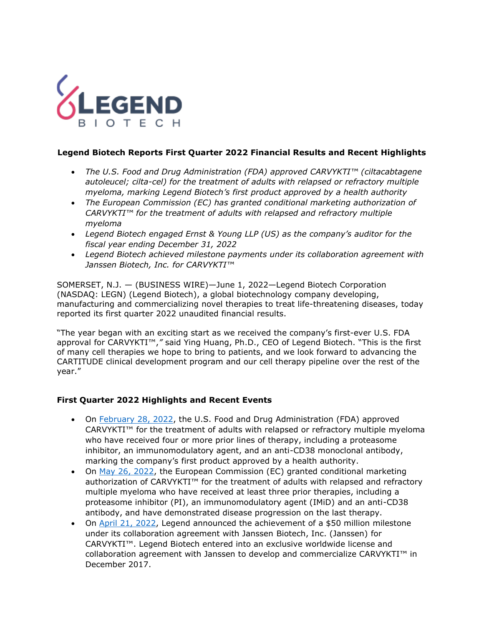

# **Legend Biotech Reports First Quarter 2022 Financial Results and Recent Highlights**

- *The U.S. Food and Drug Administration (FDA) approved CARVYKTI™ (ciltacabtagene autoleucel; cilta-cel) for the treatment of adults with relapsed or refractory multiple myeloma, marking Legend Biotech's first product approved by a health authority*
- *The European Commission (EC) has granted conditional marketing authorization of CARVYKTI™ for the treatment of adults with relapsed and refractory multiple myeloma*
- *Legend Biotech engaged Ernst & Young LLP (US) as the company's auditor for the fiscal year ending December 31, 2022*
- *Legend Biotech achieved milestone payments under its collaboration agreement with Janssen Biotech, Inc. for CARVYKTI™*

SOMERSET, N.J. — (BUSINESS WIRE)—June 1, 2022—Legend Biotech Corporation (NASDAQ: LEGN) (Legend Biotech), a global biotechnology company developing, manufacturing and commercializing novel therapies to treat life-threatening diseases, today reported its first quarter 2022 unaudited financial results.

"The year began with an exciting start as we received the company's first-ever U.S. FDA approval for CARVYKTI™,*"* said Ying Huang, Ph.D., CEO of Legend Biotech. "This is the first of many cell therapies we hope to bring to patients, and we look forward to advancing the CARTITUDE clinical development program and our cell therapy pipeline over the rest of the year."

# **First Quarter 2022 Highlights and Recent Events**

- On [February](https://legendbiotech.com/wp-content/uploads/2022/02/CARVYKTI%E2%84%A2-ciltacabtagene-autoleucel-BCMA-Directed-CAR-T-Therapy-Receives-U.S.-FDA-Approval-2.pdf) 28, 2022, the U.S. Food and Drug Administration (FDA) approved CARVYKTI™ for the treatment of adults with relapsed or refractory multiple myeloma who have received four or more prior lines of therapy, including a proteasome inhibitor, an immunomodulatory agent, and an anti-CD38 monoclonal antibody, marking the company's first product approved by a health authority.
- On [May 26, 2022,](https://investors.legendbiotech.com/node/7431/pdf) the European Commission (EC) granted conditional marketing authorization of CARVYKTI™ for the treatment of adults with relapsed and refractory multiple myeloma who have received at least three prior therapies, including a proteasome inhibitor (PI), an immunomodulatory agent (IMiD) and an anti-CD38 antibody, and have demonstrated disease progression on the last therapy.
- On [April 21, 2022,](https://investors.legendbiotech.com/node/7391/pdf) Legend announced the achievement of a \$50 million milestone under its collaboration agreement with Janssen Biotech, Inc. (Janssen) for CARVYKTI™. Legend Biotech entered into an exclusive worldwide license and collaboration agreement with Janssen to develop and commercialize CARVYKTI™ in December 2017.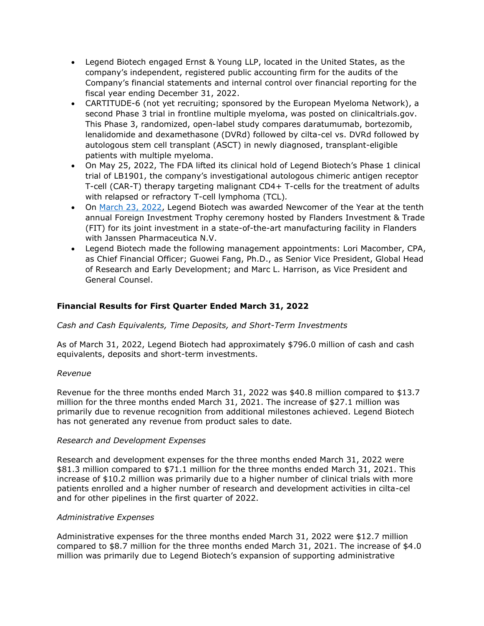- Legend Biotech engaged Ernst & Young LLP, located in the United States, as the company's independent, registered public accounting firm for the audits of the Company's financial statements and internal control over financial reporting for the fiscal year ending December 31, 2022.
- CARTITUDE-6 (not yet recruiting; sponsored by the European Myeloma Network), a second Phase 3 trial in frontline multiple myeloma, was posted on clinicaltrials.gov. This Phase 3, randomized, open-label study compares daratumumab, bortezomib, lenalidomide and dexamethasone (DVRd) followed by cilta-cel vs. DVRd followed by autologous stem cell transplant (ASCT) in newly diagnosed, transplant-eligible patients with multiple myeloma.
- On May 25, 2022, The FDA lifted its clinical hold of Legend Biotech's Phase 1 clinical trial of LB1901, the company's investigational autologous chimeric antigen receptor T-cell (CAR-T) therapy targeting malignant CD4+ T-cells for the treatment of adults with relapsed or refractory T-cell lymphoma (TCL)*.*
- On [March 23, 2022,](https://investors.legendbiotech.com/node/7351/pdf) Legend Biotech was awarded Newcomer of the Year at the tenth annual Foreign Investment Trophy ceremony hosted by Flanders Investment & Trade (FIT) for its joint investment in a state-of-the-art manufacturing facility in Flanders with Janssen Pharmaceutica N.V.
- Legend Biotech made the following management appointments: Lori Macomber, CPA, as Chief Financial Officer; Guowei Fang, Ph.D., as Senior Vice President, Global Head of Research and Early Development; and Marc L. Harrison, as Vice President and General Counsel.

# **Financial Results for First Quarter Ended March 31, 2022**

# *Cash and Cash Equivalents, Time Deposits, and Short-Term Investments*

As of March 31, 2022, Legend Biotech had approximately \$796.0 million of cash and cash equivalents, deposits and short-term investments.

## *Revenue*

Revenue for the three months ended March 31, 2022 was \$40.8 million compared to \$13.7 million for the three months ended March 31, 2021. The increase of \$27.1 million was primarily due to revenue recognition from additional milestones achieved. Legend Biotech has not generated any revenue from product sales to date.

## *Research and Development Expenses*

Research and development expenses for the three months ended March 31, 2022 were \$81.3 million compared to \$71.1 million for the three months ended March 31, 2021. This increase of \$10.2 million was primarily due to a higher number of clinical trials with more patients enrolled and a higher number of research and development activities in cilta-cel and for other pipelines in the first quarter of 2022.

## *Administrative Expenses*

Administrative expenses for the three months ended March 31, 2022 were \$12.7 million compared to \$8.7 million for the three months ended March 31, 2021. The increase of \$4.0 million was primarily due to Legend Biotech's expansion of supporting administrative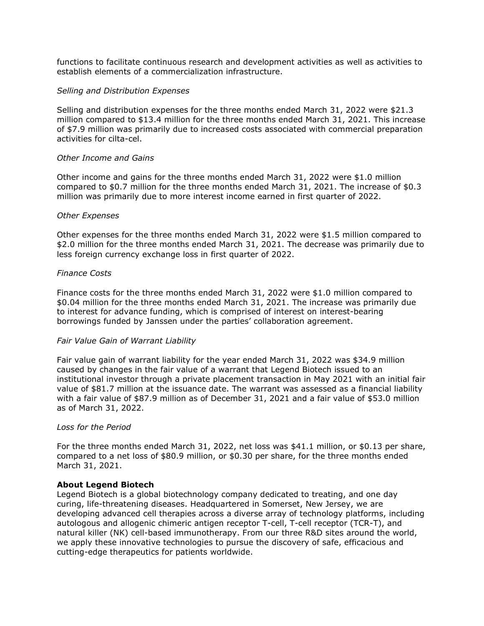functions to facilitate continuous research and development activities as well as activities to establish elements of a commercialization infrastructure.

### *Selling and Distribution Expenses*

Selling and distribution expenses for the three months ended March 31, 2022 were \$21.3 million compared to \$13.4 million for the three months ended March 31, 2021. This increase of \$7.9 million was primarily due to increased costs associated with commercial preparation activities for cilta-cel.

### *Other Income and Gains*

Other income and gains for the three months ended March 31, 2022 were \$1.0 million compared to \$0.7 million for the three months ended March 31, 2021. The increase of \$0.3 million was primarily due to more interest income earned in first quarter of 2022.

### *Other Expenses*

Other expenses for the three months ended March 31, 2022 were \$1.5 million compared to \$2.0 million for the three months ended March 31, 2021. The decrease was primarily due to less foreign currency exchange loss in first quarter of 2022.

### *Finance Costs*

Finance costs for the three months ended March 31, 2022 were \$1.0 million compared to \$0.04 million for the three months ended March 31, 2021. The increase was primarily due to interest for advance funding, which is comprised of interest on interest-bearing borrowings funded by Janssen under the parties' collaboration agreement.

#### *Fair Value Gain of Warrant Liability*

Fair value gain of warrant liability for the year ended March 31, 2022 was \$34.9 million caused by changes in the fair value of a warrant that Legend Biotech issued to an institutional investor through a private placement transaction in May 2021 with an initial fair value of \$81.7 million at the issuance date. The warrant was assessed as a financial liability with a fair value of \$87.9 million as of December 31, 2021 and a fair value of \$53.0 million as of March 31, 2022.

#### *Loss for the Period*

For the three months ended March 31, 2022, net loss was \$41.1 million, or \$0.13 per share, compared to a net loss of \$80.9 million, or \$0.30 per share, for the three months ended March 31, 2021.

#### **About Legend Biotech**

Legend Biotech is a global biotechnology company dedicated to treating, and one day curing, life-threatening diseases. Headquartered in Somerset, New Jersey, we are developing advanced cell therapies across a diverse array of technology platforms, including autologous and allogenic chimeric antigen receptor T-cell, T-cell receptor (TCR-T), and natural killer (NK) cell-based immunotherapy. From our three R&D sites around the world, we apply these innovative technologies to pursue the discovery of safe, efficacious and cutting-edge therapeutics for patients worldwide.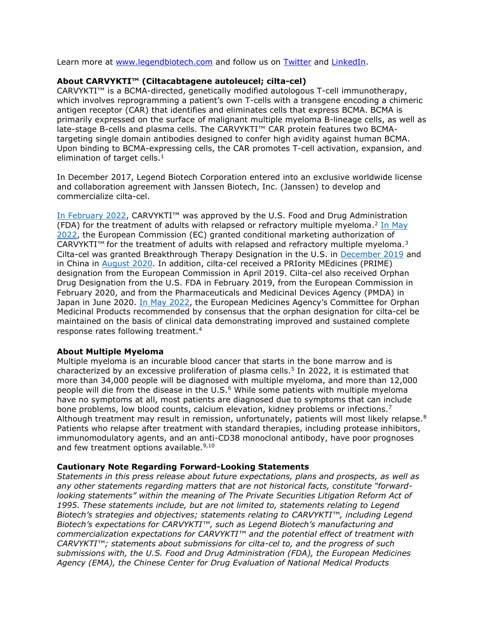Learn more at [www.legendbiotech.com](http://www.legendbiotech.com/) and follow us on **Twitter** and **LinkedIn**.

## **About CARVYKTI™ (Ciltacabtagene autoleucel; cilta-cel)**

CARVYKTI™ is a BCMA-directed, genetically modified autologous T-cell immunotherapy, which involves reprogramming a patient's own T-cells with a transgene encoding a chimeric antigen receptor (CAR) that identifies and eliminates cells that express BCMA. BCMA is primarily expressed on the surface of malignant multiple myeloma B-lineage cells, as well as late-stage B-cells and plasma cells. The CARVYKTI™ CAR protein features two BCMAtargeting single domain antibodies designed to confer high avidity against human BCMA. Upon binding to BCMA-expressing cells, the CAR promotes T-cell activation, expansion, and elimination of target cells. $<sup>1</sup>$ </sup>

In December 2017, Legend Biotech Corporation entered into an exclusive worldwide license and collaboration agreement with Janssen Biotech, Inc. (Janssen) to develop and commercialize cilta-cel.

[In February 2022](https://legendbiotech.com/wp-content/uploads/2022/02/CARVYKTI%E2%84%A2-ciltacabtagene-autoleucel-BCMA-Directed-CAR-T-Therapy-Receives-U.S.-FDA-Approval-2.pdf), CARVYKTI™ was approved by the U.S. Food and Drug Administration (FDA) for the treatment of adults with relapsed or refractory multiple myeloma.<sup>2</sup> [In May](https://legendbiotech.com/wp-content/uploads/2022/05/CARVYKTI%C2%AE-ciltacabtagene-autoleucel-Granted-Conditional-Approval-by-the-European-Commission.pdf) [2022,](https://legendbiotech.com/wp-content/uploads/2022/05/CARVYKTI%C2%AE-ciltacabtagene-autoleucel-Granted-Conditional-Approval-by-the-European-Commission.pdf) the European Commission (EC) granted conditional marketing authorization of CARVYKTI™ for the treatment of adults with relapsed and refractory multiple myeloma.<sup>3</sup> Cilta-cel was granted Breakthrough Therapy Designation in the U.S. in [December 2019](https://legendbiotech.com/wp-content/uploads/2021/05/JNJ4528_Breakthrough_Therapy_Designation_Release.pdf) and in China in [August 2020.](https://legendbiotech.com/wp-content/uploads/2021/05/LEGN_PR_08052020.pdf) In addition, cilta-cel received a PRIority MEdicines (PRIME) designation from the European Commission in April 2019. Cilta-cel also received Orphan Drug Designation from the U.S. FDA in February 2019, from the European Commission in February 2020, and from the Pharmaceuticals and Medicinal Devices Agency (PMDA) in Japan in June 2020. [In May 2022,](https://legendbiotech.com/wp-content/uploads/2022/03/CARVYKTI%C2%AE-ciltacabtagene-autoleucel-Receives-Positive-CHMP-Opinion.pdf) the European Medicines Agency's Committee for Orphan Medicinal Products recommended by consensus that the orphan designation for cilta-cel be maintained on the basis of clinical data demonstrating improved and sustained complete response rates following treatment.<sup>4</sup>

## **About Multiple Myeloma**

Multiple myeloma is an incurable blood cancer that starts in the bone marrow and is characterized by an excessive proliferation of plasma cells.<sup>5</sup> In 2022, it is estimated that more than 34,000 people will be diagnosed with multiple myeloma, and more than 12,000 people will die from the disease in the  $U.S.^6$  While some patients with multiple myeloma have no symptoms at all, most patients are diagnosed due to symptoms that can include bone problems, low blood counts, calcium elevation, kidney problems or infections.<sup>7</sup> Although treatment may result in remission, unfortunately, patients will most likely relapse.<sup>8</sup> Patients who relapse after treatment with standard therapies, including protease inhibitors, immunomodulatory agents, and an anti-CD38 monoclonal antibody, have poor prognoses and few treatment options available.<sup>9,10</sup>

#### **Cautionary Note Regarding Forward-Looking Statements**

*Statements in this press release about future expectations, plans and prospects, as well as any other statements regarding matters that are not historical facts, constitute "forwardlooking statements" within the meaning of The Private Securities Litigation Reform Act of 1995. These statements include, but are not limited to, statements relating to Legend Biotech's strategies and objectives; statements relating to CARVYKTI™, including Legend Biotech's expectations for CARVYKTI™, such as Legend Biotech's manufacturing and commercialization expectations for CARVYKTI™ and the potential effect of treatment with CARVYKTI™; statements about submissions for cilta-cel to, and the progress of such submissions with, the U.S. Food and Drug Administration (FDA), the European Medicines Agency (EMA), the Chinese Center for Drug Evaluation of National Medical Products*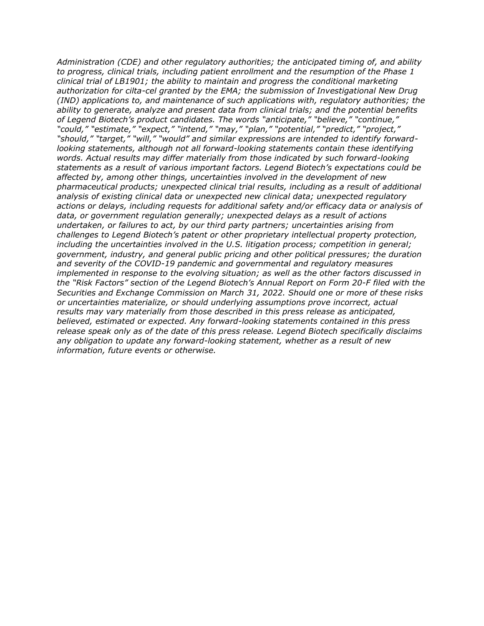*Administration (CDE) and other regulatory authorities; the anticipated timing of, and ability to progress, clinical trials, including patient enrollment and the resumption of the Phase 1 clinical trial of LB1901; the ability to maintain and progress the conditional marketing authorization for cilta-cel granted by the EMA; the submission of Investigational New Drug (IND) applications to, and maintenance of such applications with, regulatory authorities; the ability to generate, analyze and present data from clinical trials; and the potential benefits of Legend Biotech's product candidates. The words "anticipate," "believe," "continue," "could," "estimate," "expect," "intend," "may," "plan," "potential," "predict," "project," "should," "target," "will," "would" and similar expressions are intended to identify forwardlooking statements, although not all forward-looking statements contain these identifying words. Actual results may differ materially from those indicated by such forward-looking statements as a result of various important factors. Legend Biotech's expectations could be affected by, among other things, uncertainties involved in the development of new pharmaceutical products; unexpected clinical trial results, including as a result of additional analysis of existing clinical data or unexpected new clinical data; unexpected regulatory actions or delays, including requests for additional safety and/or efficacy data or analysis of data, or government regulation generally; unexpected delays as a result of actions undertaken, or failures to act, by our third party partners; uncertainties arising from challenges to Legend Biotech's patent or other proprietary intellectual property protection, including the uncertainties involved in the U.S. litigation process; competition in general; government, industry, and general public pricing and other political pressures; the duration and severity of the COVID-19 pandemic and governmental and regulatory measures implemented in response to the evolving situation; as well as the other factors discussed in the "Risk Factors" section of the Legend Biotech's Annual Report on Form 20-F filed with the Securities and Exchange Commission on March 31, 2022. Should one or more of these risks or uncertainties materialize, or should underlying assumptions prove incorrect, actual results may vary materially from those described in this press release as anticipated, believed, estimated or expected. Any forward-looking statements contained in this press release speak only as of the date of this press release. Legend Biotech specifically disclaims any obligation to update any forward-looking statement, whether as a result of new information, future events or otherwise.*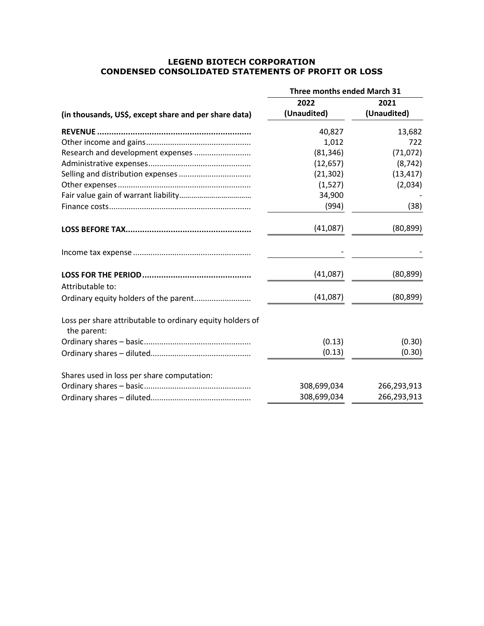# **LEGEND BIOTECH CORPORATION CONDENSED CONSOLIDATED STATEMENTS OF PROFIT OR LOSS**

|                                                                          | <b>Three months ended March 31</b> |             |
|--------------------------------------------------------------------------|------------------------------------|-------------|
|                                                                          | 2022                               | 2021        |
| (in thousands, US\$, except share and per share data)                    | (Unaudited)                        | (Unaudited) |
|                                                                          | 40,827                             | 13,682      |
|                                                                          | 1,012                              | 722         |
| Research and development expenses                                        | (81, 346)                          | (71, 072)   |
|                                                                          | (12, 657)                          | (8, 742)    |
|                                                                          | (21, 302)                          | (13, 417)   |
|                                                                          | (1,527)                            | (2,034)     |
|                                                                          | 34,900                             |             |
|                                                                          | (994)                              | (38)        |
|                                                                          | (41,087)                           | (80, 899)   |
|                                                                          |                                    |             |
|                                                                          | (41,087)                           | (80, 899)   |
| Attributable to:                                                         |                                    |             |
| Ordinary equity holders of the parent                                    | (41,087)                           | (80, 899)   |
| Loss per share attributable to ordinary equity holders of<br>the parent: |                                    |             |
|                                                                          | (0.13)                             | (0.30)      |
|                                                                          | (0.13)                             | (0.30)      |
| Shares used in loss per share computation:                               |                                    |             |
|                                                                          | 308,699,034                        | 266,293,913 |
|                                                                          | 308,699,034                        | 266,293,913 |
|                                                                          |                                    |             |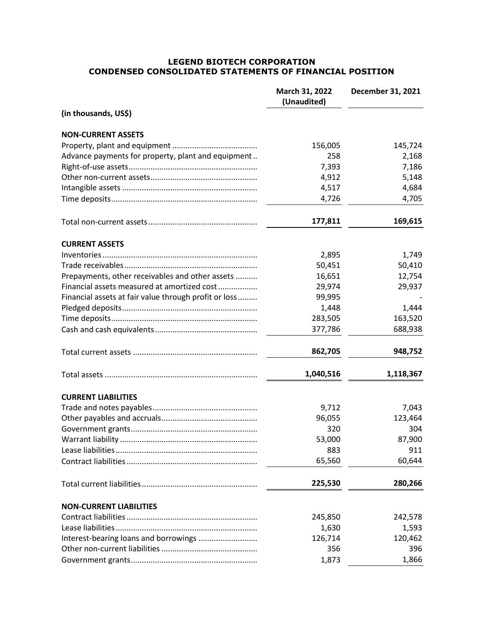## **LEGEND BIOTECH CORPORATION CONDENSED CONSOLIDATED STATEMENTS OF FINANCIAL POSITION**

|                                                       | March 31, 2022<br>(Unaudited) | December 31, 2021 |
|-------------------------------------------------------|-------------------------------|-------------------|
| (in thousands, US\$)                                  |                               |                   |
| <b>NON-CURRENT ASSETS</b>                             |                               |                   |
|                                                       | 156,005                       | 145,724           |
| Advance payments for property, plant and equipment    | 258                           | 2,168             |
|                                                       | 7,393                         | 7,186             |
|                                                       | 4,912                         | 5,148             |
|                                                       | 4,517                         | 4,684             |
|                                                       | 4,726                         | 4,705             |
|                                                       | 177,811                       | 169,615           |
| <b>CURRENT ASSETS</b>                                 |                               |                   |
|                                                       | 2,895                         | 1,749             |
|                                                       | 50,451                        | 50,410            |
| Prepayments, other receivables and other assets       | 16,651                        | 12,754            |
| Financial assets measured at amortized cost           | 29,974                        | 29,937            |
| Financial assets at fair value through profit or loss | 99,995                        |                   |
|                                                       | 1,448                         | 1,444             |
|                                                       | 283,505                       | 163,520           |
|                                                       | 377,786                       | 688,938           |
|                                                       | 862,705                       | 948,752           |
|                                                       | 1,040,516                     | 1,118,367         |
| <b>CURRENT LIABILITIES</b>                            |                               |                   |
|                                                       | 9,712                         | 7,043             |
|                                                       | 96,055                        | 123,464           |
|                                                       | 320                           | 304               |
|                                                       | 53,000                        | 87,900            |
|                                                       | 883                           | 911               |
|                                                       | 65,560                        | 60,644            |
|                                                       | 225,530                       | 280,266           |
| <b>NON-CURRENT LIABILITIES</b>                        |                               |                   |
|                                                       | 245,850                       | 242,578           |
|                                                       | 1,630                         | 1,593             |
| Interest-bearing loans and borrowings                 | 126,714                       | 120,462           |
|                                                       | 356                           | 396               |
|                                                       | 1,873                         | 1,866             |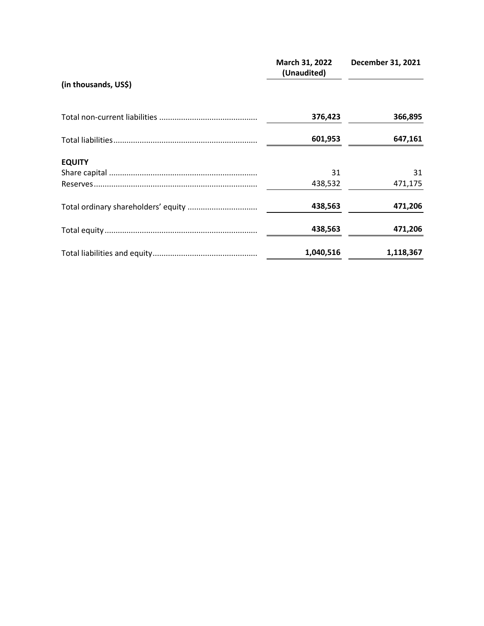|                      | March 31, 2022<br>(Unaudited) | December 31, 2021 |
|----------------------|-------------------------------|-------------------|
| (in thousands, US\$) |                               |                   |
|                      | 376,423                       | 366,895           |
|                      | 601,953                       | 647,161           |
| <b>EQUITY</b>        |                               |                   |
|                      | 31                            | 31                |
|                      | 438,532                       | 471,175           |
|                      | 438,563                       | 471,206           |
|                      | 438,563                       | 471,206           |
|                      | 1,040,516                     | 1,118,367         |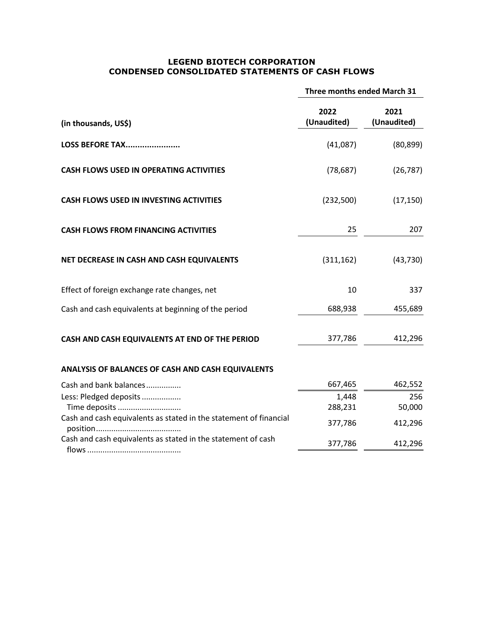## **LEGEND BIOTECH CORPORATION CONDENSED CONSOLIDATED STATEMENTS OF CASH FLOWS**

|                                                                   | Three months ended March 31 |                     |
|-------------------------------------------------------------------|-----------------------------|---------------------|
| (in thousands, US\$)                                              | 2022<br>(Unaudited)         | 2021<br>(Unaudited) |
| LOSS BEFORE TAX                                                   | (41,087)                    | (80, 899)           |
| <b>CASH FLOWS USED IN OPERATING ACTIVITIES</b>                    | (78, 687)                   | (26, 787)           |
| <b>CASH FLOWS USED IN INVESTING ACTIVITIES</b>                    | (232,500)                   | (17, 150)           |
| <b>CASH FLOWS FROM FINANCING ACTIVITIES</b>                       | 25                          | 207                 |
| NET DECREASE IN CASH AND CASH EQUIVALENTS                         | (311, 162)                  | (43, 730)           |
| Effect of foreign exchange rate changes, net                      | 10                          | 337                 |
| Cash and cash equivalents at beginning of the period              | 688,938                     | 455,689             |
| CASH AND CASH EQUIVALENTS AT END OF THE PERIOD                    | 377,786                     | 412,296             |
| ANALYSIS OF BALANCES OF CASH AND CASH EQUIVALENTS                 |                             |                     |
| Cash and bank balances                                            | 667,465                     | 462,552             |
| Less: Pledged deposits                                            | 1,448                       | 256                 |
| Time deposits                                                     | 288,231                     | 50,000              |
| Cash and cash equivalents as stated in the statement of financial | 377,786                     | 412,296             |
| Cash and cash equivalents as stated in the statement of cash      | 377,786                     | 412,296             |